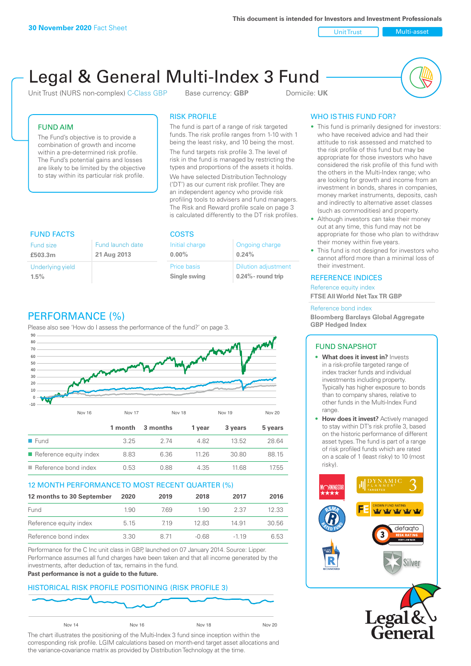**This document is intended for Investors and Investment Professionals**

Unit Trust Nulti-asset

# Legal & General Multi-Index 3 Fund

Unit Trust (NURS non-complex) C-Class GBP Base currency: **GBP** Domicile: UK



## FUND AIM

The Fund's objective is to provide a combination of growth and income within a pre-determined risk profile. The Fund's potential gains and losses are likely to be limited by the objective to stay within its particular risk profile.

## RISK PROFILE

The fund is part of a range of risk targeted funds. The risk profile ranges from 1-10 with 1 being the least risky, and 10 being the most.

The fund targets risk profile 3. The level of risk in the fund is managed by restricting the types and proportions of the assets it holds. We have selected Distribution Technology ('DT') as our current risk profiler. They are an independent agency who provide risk profiling tools to advisers and fund managers. The Risk and Reward profile scale on page 3 is calculated differently to the DT risk profiles.

| <b>FUND FACTS</b> |                  | <b>COSTS</b>   |                            |  |
|-------------------|------------------|----------------|----------------------------|--|
| Fund size         | Fund launch date | Initial charge | Ongoing charge             |  |
| £503.3m           | 21 Aug 2013      | $0.00\%$       | 0.24%                      |  |
| Underlying yield  |                  | Price basis    | <b>Dilution adjustment</b> |  |
| 1.5%              |                  | Single swing   | $0.24\%$ - round trip      |  |

# PERFORMANCE (%)

Please also see 'How do I assess the performance of the fund?' on page 3.



#### 12 MONTH PERFORMANCE TO MOST RECENT QUARTER (%)

| 12 months to 30 September | 2020 | 2019 | 2018    | 2017   | 2016  |
|---------------------------|------|------|---------|--------|-------|
| Fund                      | 1.90 | 769  | 1.90    | 2.37   | 12.33 |
| Reference equity index    | 5.15 | 719  | 1283    | 14.91  | 30.56 |
| Reference bond index      | 3.30 | 8.71 | $-0.68$ | $-119$ | 6.53  |

Performance for the C Inc unit class in GBP, launched on 07 January 2014. Source: Lipper. Performance assumes all fund charges have been taken and that all income generated by the investments, after deduction of tax, remains in the fund.

#### **Past performance is not a guide to the future.**

# HISTORICAL RISK PROFILE POSITIONING (RISK PROFILE 3)



The chart illustrates the positioning of the Multi-Index 3 fund since inception within the corresponding risk profile. LGIM calculations based on month-end target asset allocations and the variance-covariance matrix as provided by Distribution Technology at the time.

# WHO IS THIS FUND FOR?

- This fund is primarily designed for investors: who have received advice and had their attitude to risk assessed and matched to the risk profile of this fund but may be appropriate for those investors who have considered the risk profile of this fund with the others in the Multi-Index range; who are looking for growth and income from an investment in bonds, shares in companies, money market instruments, deposits, cash and indirectly to alternative asset classes (such as commodities) and property.
- Although investors can take their money out at any time, this fund may not be appropriate for those who plan to withdraw their money within five years.
- This fund is not designed for investors who cannot afford more than a minimal loss of their investment.

#### REFERENCE INDICES

Reference equity index **FTSE All World Net Tax TR GBP**

#### Reference bond index

**Bloomberg Barclays Global Aggregate GBP Hedged Index**

#### FUND SNAPSHOT

- **• What does it invest in?** Invests in a risk-profile targeted range of index tracker funds and individual investments including property. Typically has higher exposure to bonds than to company shares, relative to other funds in the Multi-Index Fund range.
- **• How does it invest?** Actively managed to stay within DT's risk profile 3, based on the historic performance of different asset types. The fund is part of a range of risk profiled funds which are rated on a scale of 1 (least risky) to 10 (most risky).



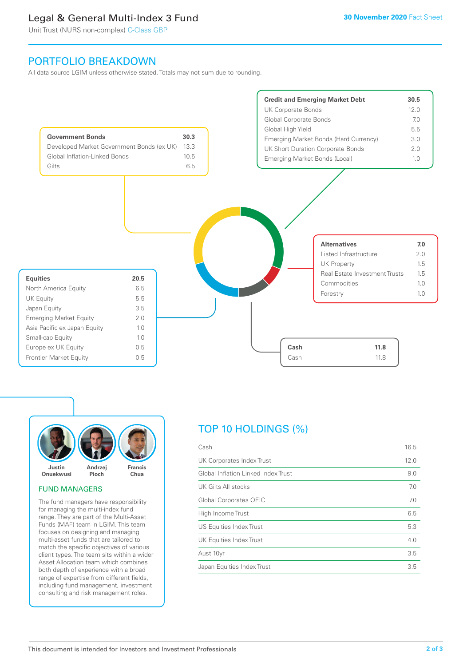# Legal & General Multi-Index 3 Fund

Unit Trust (NURS non-complex) C-Class GBP

# PORTFOLIO BREAKDOWN

All data source LGIM unless otherwise stated. Totals may not sum due to rounding.





#### FUND MANAGERS

The fund managers have responsibility for managing the multi-index fund range. They are part of the Multi-Asset Funds (MAF) team in LGIM. This team focuses on designing and managing multi-asset funds that are tailored to match the specific objectives of various client types. The team sits within a wider Asset Allocation team which combines both depth of experience with a broad range of expertise from different fields, including fund management, investment consulting and risk management roles.

# TOP 10 HOLDINGS (%)

| Cash                                | 16.5 |
|-------------------------------------|------|
| UK Corporates Index Trust           | 12.0 |
| Global Inflation Linked Index Trust | 9.0  |
| UK Gilts All stocks                 | 7.0  |
| Global Corporates OEIC              | 7.0  |
| High Income Trust                   | 6.5  |
| <b>US Equities Index Trust</b>      | 5.3  |
| UK Equities Index Trust             | 4.0  |
| Aust 10yr                           | 3.5  |
| Japan Equities Index Trust          | 3.5  |